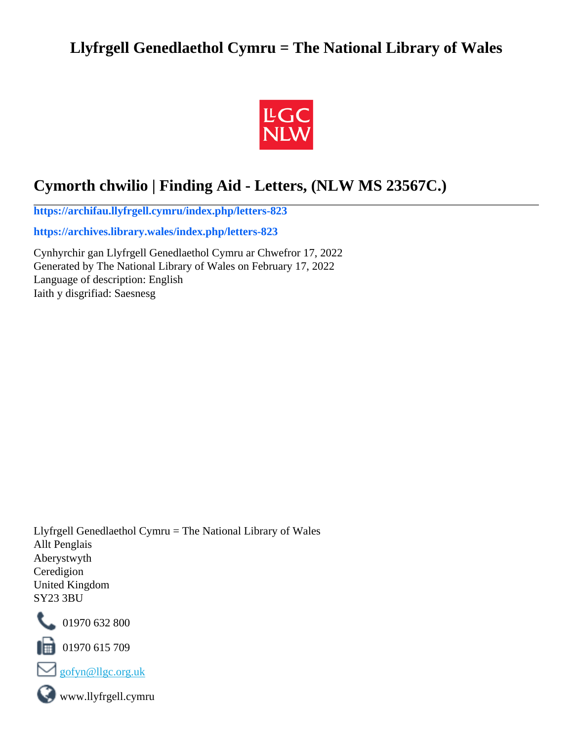# **Llyfrgell Genedlaethol Cymru = The National Library of Wales**



# **Cymorth chwilio | Finding Aid - Letters, (NLW MS 23567C.)**

**[https://archifau.llyfrgell.cymru/index.php/letters-823](https://archifau.llyfrgell.cymru/index.php/letters-823;isad?sf_culture=cy)**

**[https://archives.library.wales/index.php/letters-823](https://archives.library.wales/index.php/letters-823;isad?sf_culture=en)**

Cynhyrchir gan Llyfrgell Genedlaethol Cymru ar Chwefror 17, 2022 Generated by The National Library of Wales on February 17, 2022 Language of description: English Iaith y disgrifiad: Saesnesg

Llyfrgell Genedlaethol Cymru = The National Library of Wales Allt Penglais Aberystwyth Ceredigion United Kingdom SY23 3BU



101970 632 800

 $\Box$  01970 615 709



www.llyfrgell.cymru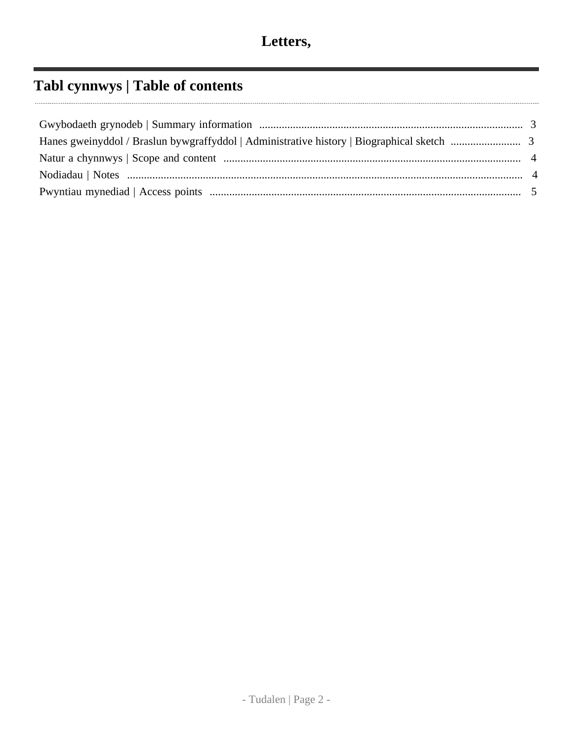# **Tabl cynnwys | Table of contents**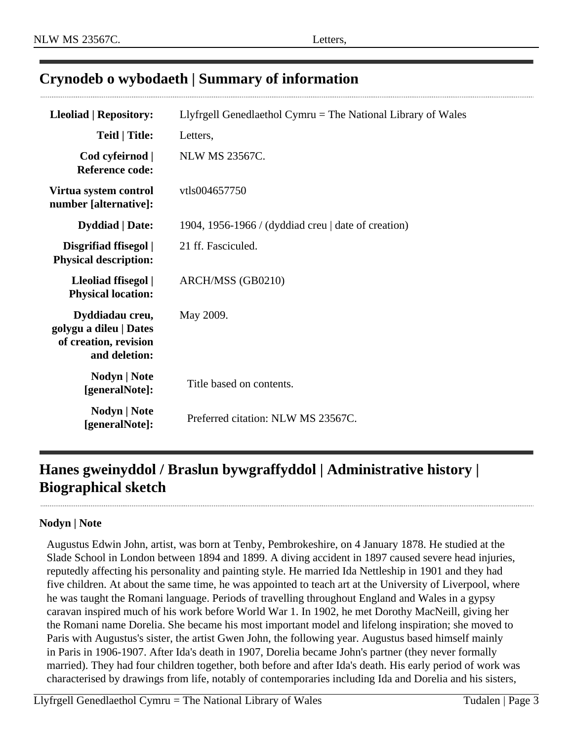# <span id="page-2-0"></span>**Crynodeb o wybodaeth | Summary of information**

| <b>Lleoliad   Repository:</b>                                                       | Llyfrgell Genedlaethol Cymru = The National Library of Wales |  |
|-------------------------------------------------------------------------------------|--------------------------------------------------------------|--|
| <b>Teitl</b>   Title:                                                               | Letters,                                                     |  |
| Cod cyfeirnod  <br><b>Reference code:</b>                                           | <b>NLW MS 23567C.</b>                                        |  |
| Virtua system control<br>number [alternative]:                                      | vtls004657750                                                |  |
| <b>Dyddiad</b>   Date:                                                              | 1904, 1956-1966 / (dyddiad creu   date of creation)          |  |
| Disgrifiad ffisegol  <br><b>Physical description:</b>                               | 21 ff. Fasciculed.                                           |  |
| Lleoliad ffisegol  <br><b>Physical location:</b>                                    | ARCH/MSS (GB0210)                                            |  |
| Dyddiadau creu,<br>golygu a dileu   Dates<br>of creation, revision<br>and deletion: | May 2009.                                                    |  |
| Nodyn   Note<br>[generalNote]:                                                      | Title based on contents.                                     |  |
| Nodyn   Note<br>[generalNote]:                                                      | Preferred citation: NLW MS 23567C.                           |  |

# <span id="page-2-1"></span>**Hanes gweinyddol / Braslun bywgraffyddol | Administrative history | Biographical sketch**

#### **Nodyn | Note**

............................

Augustus Edwin John, artist, was born at Tenby, Pembrokeshire, on 4 January 1878. He studied at the Slade School in London between 1894 and 1899. A diving accident in 1897 caused severe head injuries, reputedly affecting his personality and painting style. He married Ida Nettleship in 1901 and they had five children. At about the same time, he was appointed to teach art at the University of Liverpool, where he was taught the Romani language. Periods of travelling throughout England and Wales in a gypsy caravan inspired much of his work before World War 1. In 1902, he met Dorothy MacNeill, giving her the Romani name Dorelia. She became his most important model and lifelong inspiration; she moved to Paris with Augustus's sister, the artist Gwen John, the following year. Augustus based himself mainly in Paris in 1906-1907. After Ida's death in 1907, Dorelia became John's partner (they never formally married). They had four children together, both before and after Ida's death. His early period of work was characterised by drawings from life, notably of contemporaries including Ida and Dorelia and his sisters,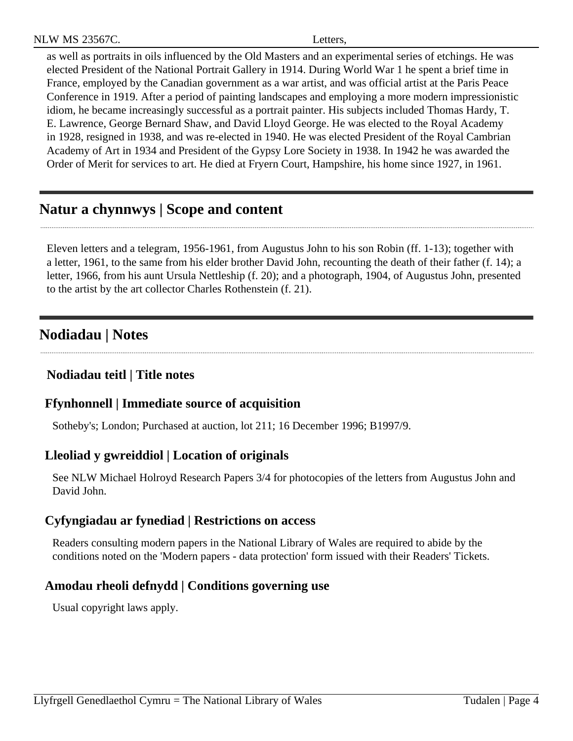| <b>NLW MS 23567C.</b> | etters. |  |
|-----------------------|---------|--|
|                       |         |  |

as well as portraits in oils influenced by the Old Masters and an experimental series of etchings. He was elected President of the National Portrait Gallery in 1914. During World War 1 he spent a brief time in France, employed by the Canadian government as a war artist, and was official artist at the Paris Peace Conference in 1919. After a period of painting landscapes and employing a more modern impressionistic idiom, he became increasingly successful as a portrait painter. His subjects included Thomas Hardy, T. E. Lawrence, George Bernard Shaw, and David Lloyd George. He was elected to the Royal Academy in 1928, resigned in 1938, and was re-elected in 1940. He was elected President of the Royal Cambrian Academy of Art in 1934 and President of the Gypsy Lore Society in 1938. In 1942 he was awarded the Order of Merit for services to art. He died at Fryern Court, Hampshire, his home since 1927, in 1961.

# <span id="page-3-0"></span>**Natur a chynnwys | Scope and content**

Eleven letters and a telegram, 1956-1961, from Augustus John to his son Robin (ff. 1-13); together with a letter, 1961, to the same from his elder brother David John, recounting the death of their father (f. 14); a letter, 1966, from his aunt Ursula Nettleship (f. 20); and a photograph, 1904, of Augustus John, presented to the artist by the art collector Charles Rothenstein (f. 21).

## <span id="page-3-1"></span>**Nodiadau | Notes**

## **Nodiadau teitl | Title notes**

#### **Ffynhonnell | Immediate source of acquisition**

Sotheby's; London; Purchased at auction, lot 211; 16 December 1996; B1997/9.

#### **Lleoliad y gwreiddiol | Location of originals**

See NLW Michael Holroyd Research Papers 3/4 for photocopies of the letters from Augustus John and David John.

#### **Cyfyngiadau ar fynediad | Restrictions on access**

Readers consulting modern papers in the National Library of Wales are required to abide by the conditions noted on the 'Modern papers - data protection' form issued with their Readers' Tickets.

## **Amodau rheoli defnydd | Conditions governing use**

Usual copyright laws apply.